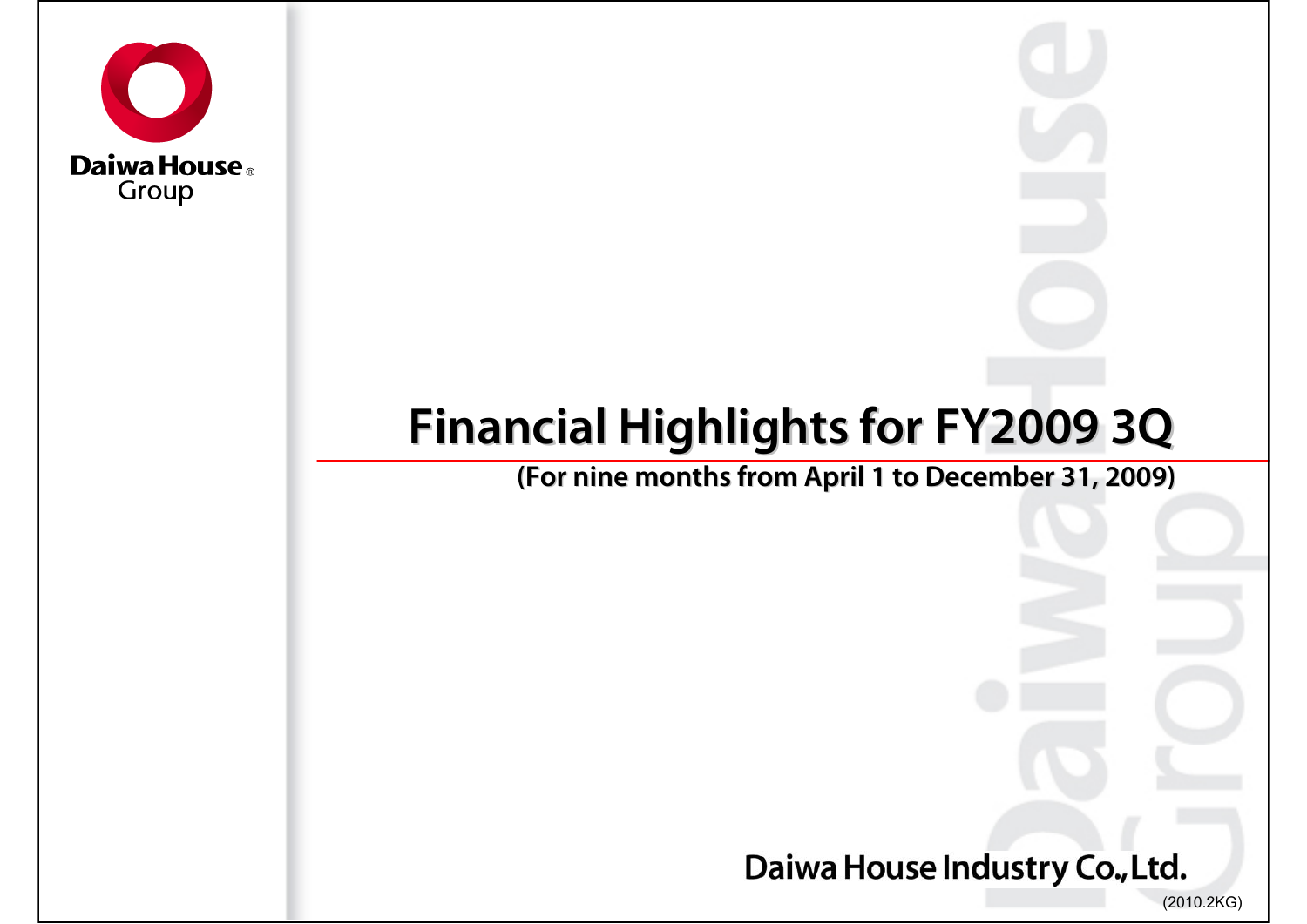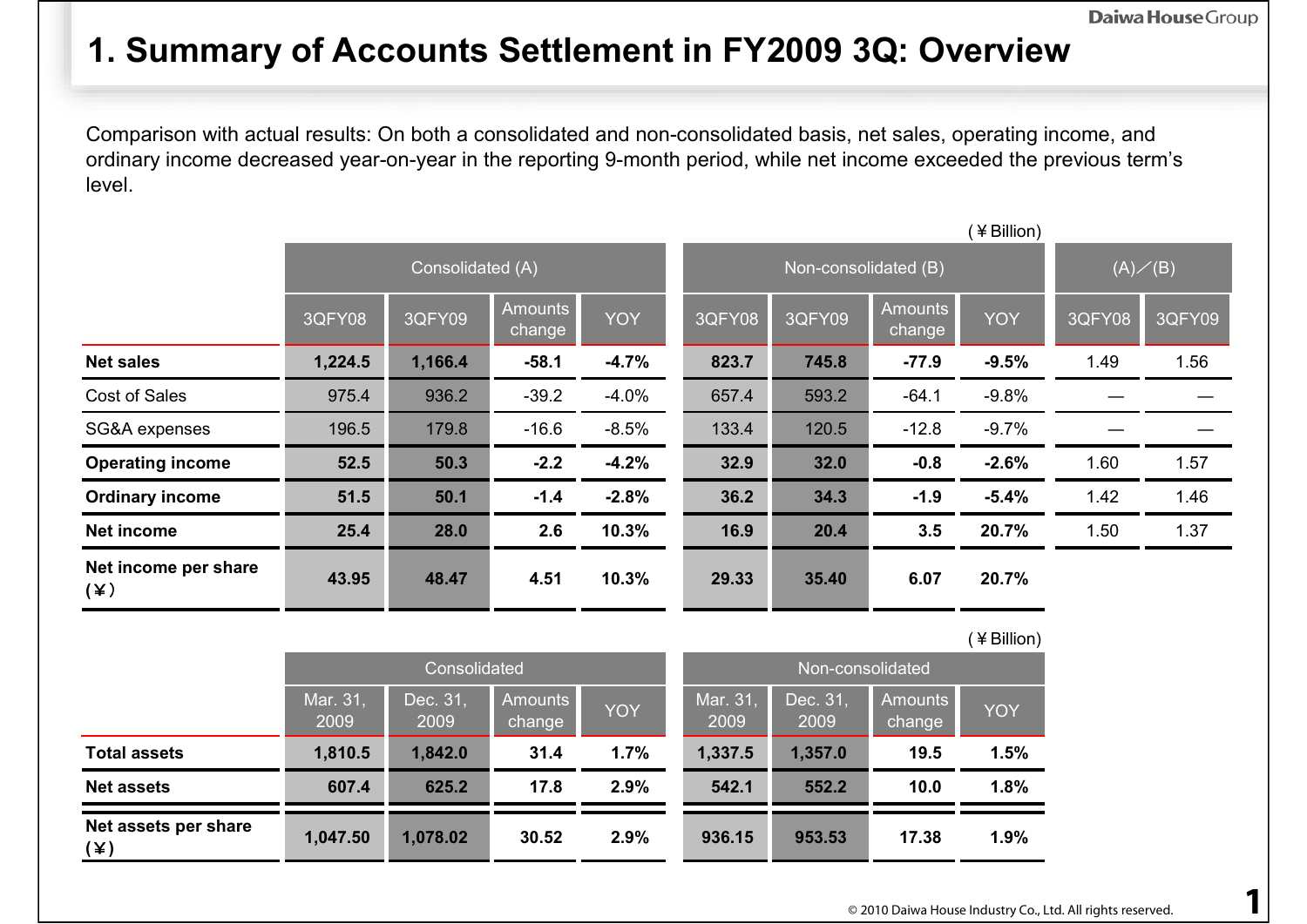### **1. Summary of Accounts Settlement in FY2009 3Q: Overview**

Comparison with actual results: On both a consolidated and non-consolidated basis, net sales, operating income, and ordinary income decreased year-on-year in the reporting 9-month period, while net income exceeded the previous term's level.

|                                    |         | (¥Billion)       |                          |            |        |                      |                          |                  |        |        |  |
|------------------------------------|---------|------------------|--------------------------|------------|--------|----------------------|--------------------------|------------------|--------|--------|--|
|                                    |         | Consolidated (A) |                          |            |        | Non-consolidated (B) |                          | $(A) \diagup(B)$ |        |        |  |
|                                    | 3QFY08  | 3QFY09           | <b>Amounts</b><br>change | <b>YOY</b> | 3QFY08 | 3QFY09               | <b>Amounts</b><br>change | <b>YOY</b>       | 3QFY08 | 3QFY09 |  |
| <b>Net sales</b>                   | 1,224.5 | 1,166.4          | $-58.1$                  | $-4.7%$    | 823.7  | 745.8                | $-77.9$                  | $-9.5%$          | 1.49   | 1.56   |  |
| Cost of Sales                      | 975.4   | 936.2            | $-39.2$                  | $-4.0%$    | 657.4  | 593.2                | $-64.1$                  | $-9.8%$          |        |        |  |
| SG&A expenses                      | 196.5   | 179.8            | $-16.6$                  | $-8.5%$    | 133.4  | 120.5                | $-12.8$                  | $-9.7%$          |        |        |  |
| <b>Operating income</b>            | 52.5    | 50.3             | $-2.2$                   | $-4.2%$    | 32.9   | 32.0                 | $-0.8$                   | $-2.6%$          | 1.60   | 1.57   |  |
| <b>Ordinary income</b>             | 51.5    | 50.1             | $-1.4$                   | $-2.8%$    | 36.2   | 34.3                 | $-1.9$                   | $-5.4%$          | 1.42   | 1.46   |  |
| <b>Net income</b>                  | 25.4    | 28.0             | 2.6                      | 10.3%      | 16.9   | 20.4                 | 3.5                      | 20.7%            | 1.50   | 1.37   |  |
| Net income per share<br>$(\times)$ | 43.95   | 48.47            | 4.51                     | 10.3%      | 29.33  | 35.40                | 6.07                     | 20.7%            |        |        |  |

|                             |                  |                  |                   |            |                  |                  |                   | (¥Billion) |  |  |
|-----------------------------|------------------|------------------|-------------------|------------|------------------|------------------|-------------------|------------|--|--|
|                             |                  | Consolidated     |                   |            | Non-consolidated |                  |                   |            |  |  |
|                             | Mar. 31,<br>2009 | Dec. 31,<br>2009 | Amounts<br>change | <b>YOY</b> | Mar. 31,<br>2009 | Dec. 31,<br>2009 | Amounts<br>change | <b>YOY</b> |  |  |
| <b>Total assets</b>         | 1,810.5          | 1,842.0          | 31.4              | 1.7%       | 1,337.5          | 1,357.0          | 19.5              | 1.5%       |  |  |
| <b>Net assets</b>           | 607.4            | 625.2            | 17.8              | 2.9%       | 542.1            | 552.2            | 10.0              | 1.8%       |  |  |
| Net assets per share<br>(¥) | 1,047.50         | 1,078.02         | 30.52             | 2.9%       | 936.15           | 953.53           | 17.38             | 1.9%       |  |  |

| ı<br>Ó<br>٥<br>o |  |
|------------------|--|
|                  |  |
|                  |  |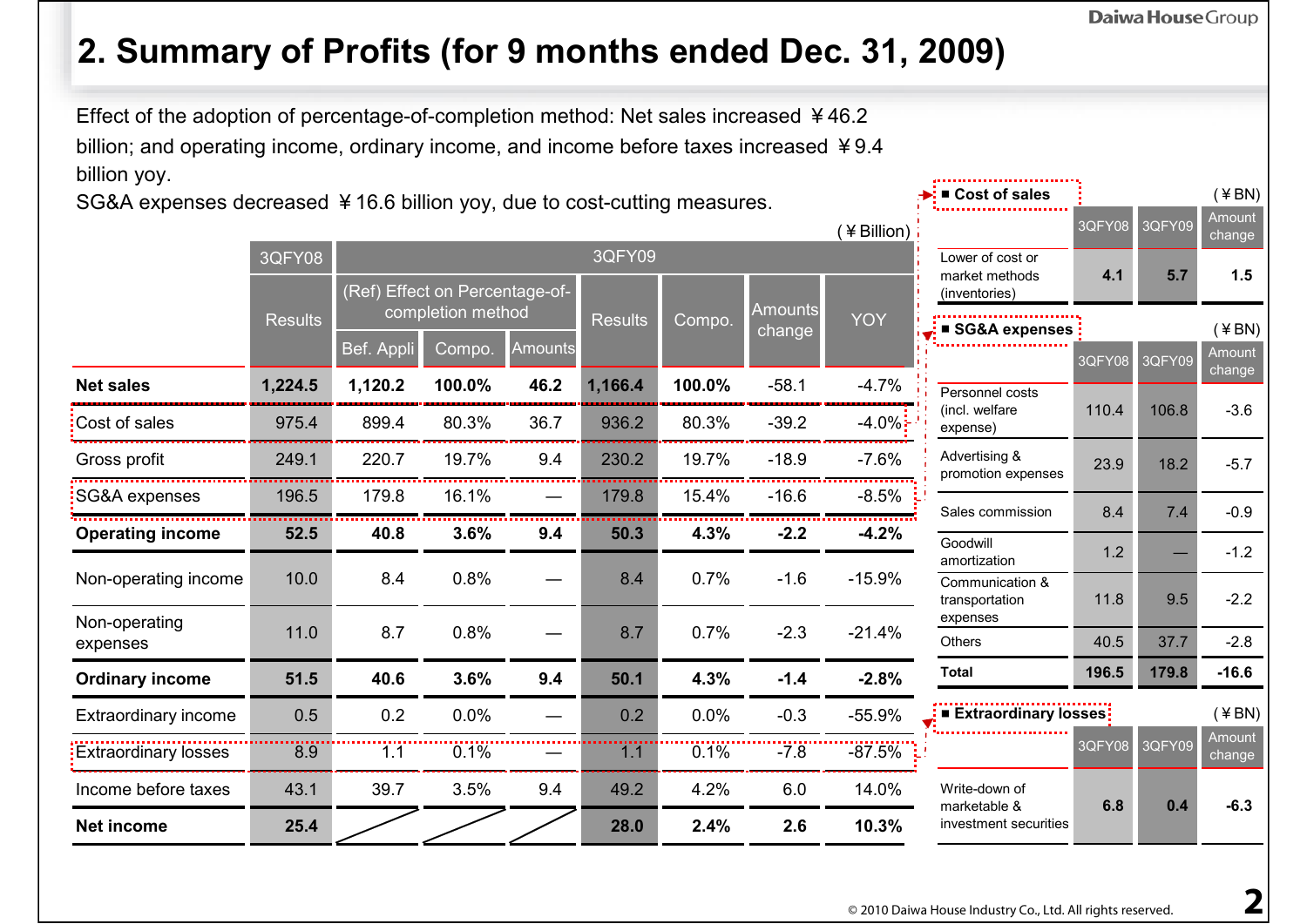(¥BN)

# **2. Summary of Profits (for 9 months ended Dec. 31, 2009)**

Effect of the adoption of percentage-of-completion method: Net sales increased ¥46.2 billion; and operating income, ordinary income, and income before taxes increased ¥9.4 billion yoy.

SG&A expenses decreased ¥16.6 billion yoy, due to cost-cutting measures.

|                             |                |            |                                |         |                |        |                | (¥Billion) |                                     | 3QFY08 | 3QFY09 | Amount<br>change |
|-----------------------------|----------------|------------|--------------------------------|---------|----------------|--------|----------------|------------|-------------------------------------|--------|--------|------------------|
|                             | 3QFY08         |            |                                |         | 3QFY09         |        |                |            | Lower of cost or<br>market methods  | 4.1    | 5.7    | 1.5              |
|                             |                |            | (Ref) Effect on Percentage-of- |         |                |        | <b>Amounts</b> |            | (inventories)                       |        |        |                  |
|                             | <b>Results</b> |            | completion method              |         | <b>Results</b> | Compo. | change         | <b>YOY</b> | ■ SG&A expenses                     |        |        | $($ ¥ BN)        |
|                             |                | Bef. Appli | Compo.                         | Amounts |                |        |                |            |                                     | 3QFY08 | 3QFY09 | Amount<br>change |
| <b>Net sales</b>            | 1,224.5        | 1,120.2    | 100.0%                         | 46.2    | 1,166.4        | 100.0% | $-58.1$        | $-4.7%$    | Personnel costs                     |        |        |                  |
| Cost of sales               | 975.4          | 899.4      | 80.3%                          | 36.7    | 936.2          | 80.3%  | $-39.2$        | $-4.0\%$ : | (incl. welfare<br>expense)          | 110.4  | 106.8  | $-3.6$           |
| Gross profit                | 249.1          | 220.7      | 19.7%                          | 9.4     | 230.2          | 19.7%  | $-18.9$        | $-7.6%$    | Advertising &<br>promotion expenses | 23.9   | 18.2   | $-5.7$           |
| SG&A expenses               | 196.5          | 179.8      | 16.1%                          |         | 179.8          | 15.4%  | $-16.6$        | $-8.5\%$   | Sales commission                    | 8.4    | 7.4    | $-0.9$           |
| <b>Operating income</b>     | 52.5           | 40.8       | 3.6%                           | 9.4     | 50.3           | 4.3%   | $-2.2$         | $-4.2%$    | Goodwill                            |        |        |                  |
|                             | 10.0           | 8.4        | 0.8%                           |         | 8.4            | 0.7%   | $-1.6$         | $-15.9%$   | amortization                        | 1.2    |        | $-1.2$           |
| Non-operating income        |                |            |                                |         |                |        |                |            | Communication &<br>transportation   | 11.8   | 9.5    | $-2.2$           |
| Non-operating<br>expenses   | 11.0           | 8.7        | 0.8%                           |         | 8.7            | 0.7%   | $-2.3$         | $-21.4%$   | expenses<br><b>Others</b>           | 40.5   | 37.7   | $-2.8$           |
|                             |                |            |                                |         |                |        |                |            | <b>Total</b>                        | 196.5  | 179.8  | $-16.6$          |
| <b>Ordinary income</b>      | 51.5           | 40.6       | 3.6%                           | 9.4     | 50.1           | 4.3%   | $-1.4$         | $-2.8%$    |                                     |        |        |                  |
| Extraordinary income        | 0.5            | 0.2        | 0.0%                           |         | 0.2            | 0.0%   | $-0.3$         | $-55.9%$   | ■ Extraordinary losses:             |        |        | $($ ¥ BN)        |
| <b>Extraordinary losses</b> | 8.9            | 1.1        | 0.1%                           |         | 1.1            | 0.1%   | $-7.8$         | $-87.5%$   |                                     | 3QFY08 | 3QFY09 | Amount<br>change |
| Income before taxes         | 43.1           | 39.7       | 3.5%                           | 9.4     | 49.2           | 4.2%   | 6.0            | 14.0%      | Write-down of<br>marketable &       | 6.8    | 0.4    | $-6.3$           |
| <b>Net income</b>           | 25.4           |            |                                |         | 28.0           | 2.4%   | 2.6            | 10.3%      | investment securities               |        |        |                  |

■ **Cost of sales**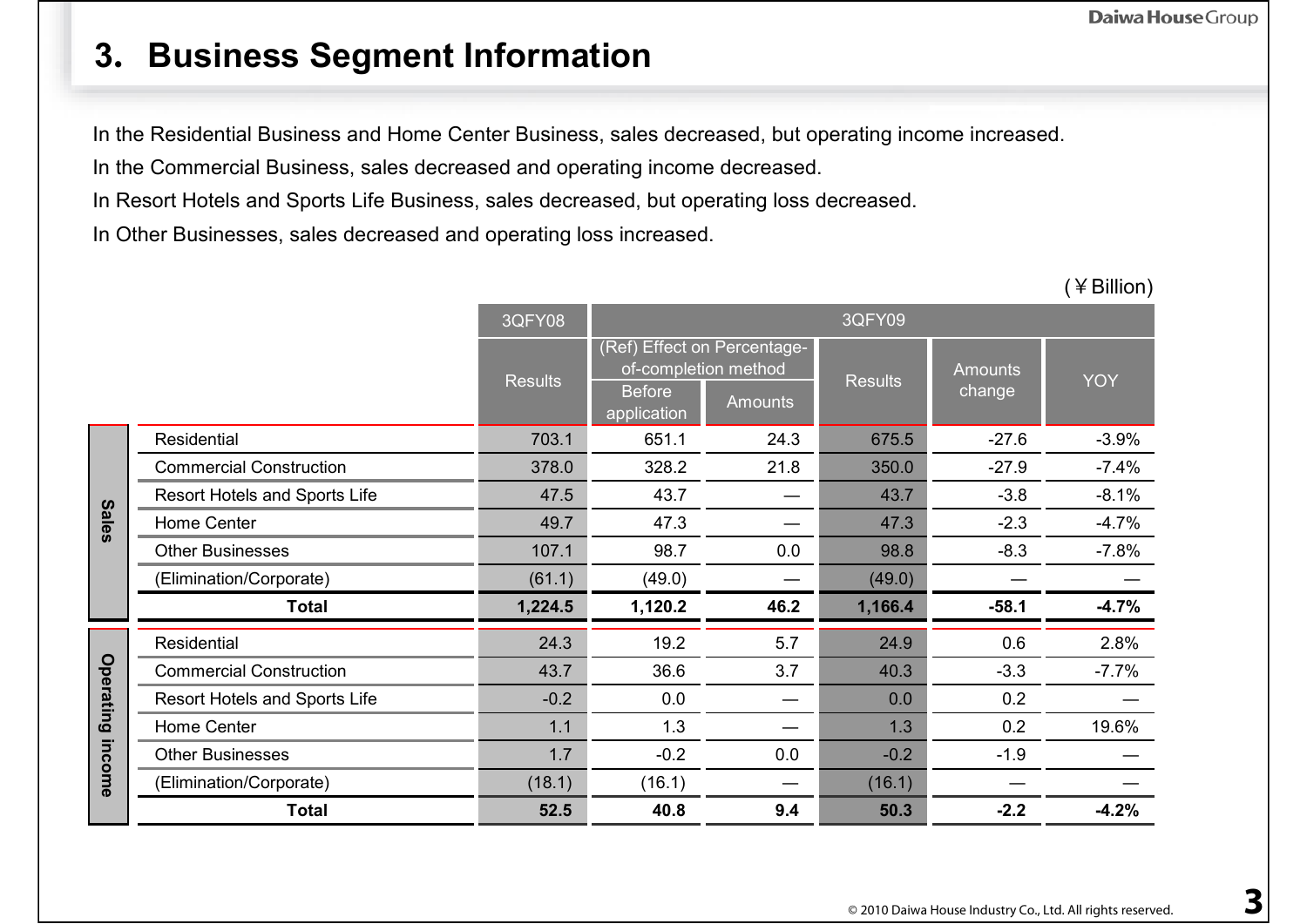#### **3.Business Segment Information**

In the Residential Business and Home Center Business, sales decreased, but operating income increased.

In the Commercial Business, sales decreased and operating income decreased.

In Resort Hotels and Sports Life Business, sales decreased, but operating loss decreased.

In Other Businesses, sales decreased and operating loss increased.

|              |                                      | 3QFY08         |                                                      |                                               | 3QFY09         |                          |            |
|--------------|--------------------------------------|----------------|------------------------------------------------------|-----------------------------------------------|----------------|--------------------------|------------|
|              |                                      | <b>Results</b> | of-completion method<br><b>Before</b><br>application | (Ref) Effect on Percentage-<br><b>Amounts</b> | <b>Results</b> | <b>Amounts</b><br>change | <b>YOY</b> |
|              | Residential                          | 703.1          | 651.1                                                | 24.3                                          | 675.5          | $-27.6$                  | $-3.9%$    |
|              | <b>Commercial Construction</b>       | 378.0          | 328.2                                                | 21.8                                          | 350.0          | $-27.9$                  | $-7.4%$    |
|              | <b>Resort Hotels and Sports Life</b> | 47.5           | 43.7                                                 |                                               | 43.7           | $-3.8$                   | $-8.1%$    |
| <b>Sales</b> | Home Center                          | 49.7           | 47.3                                                 |                                               | 47.3           | $-2.3$                   | $-4.7%$    |
|              | <b>Other Businesses</b>              | 107.1          | 98.7                                                 | 0.0                                           | 98.8           | $-8.3$                   | $-7.8%$    |
|              | (Elimination/Corporate)              | (61.1)         | (49.0)                                               |                                               | (49.0)         |                          |            |
|              | <b>Total</b>                         | 1,224.5        | 1,120.2                                              | 46.2                                          | 1,166.4        | $-58.1$                  | $-4.7%$    |
|              | Residential                          | 24.3           | 19.2                                                 | 5.7                                           | 24.9           | 0.6                      | 2.8%       |
|              | <b>Commercial Construction</b>       | 43.7           | 36.6                                                 | 3.7                                           | 40.3           | $-3.3$                   | $-7.7%$    |
| Operating    | Resort Hotels and Sports Life        | $-0.2$         | 0.0                                                  |                                               | 0.0            | 0.2                      |            |
|              | Home Center                          | 1.1            | 1.3                                                  |                                               | 1.3            | 0.2                      | 19.6%      |
|              | <b>Other Businesses</b>              | 1.7            | $-0.2$                                               | 0.0                                           | $-0.2$         | $-1.9$                   |            |
| income       | (Elimination/Corporate)              | (18.1)         | (16.1)                                               |                                               | (16.1)         |                          |            |
|              | <b>Total</b>                         | 52.5           | 40.8                                                 | 9.4                                           | 50.3           | $-2.2$                   | $-4.2%$    |

(¥Billion)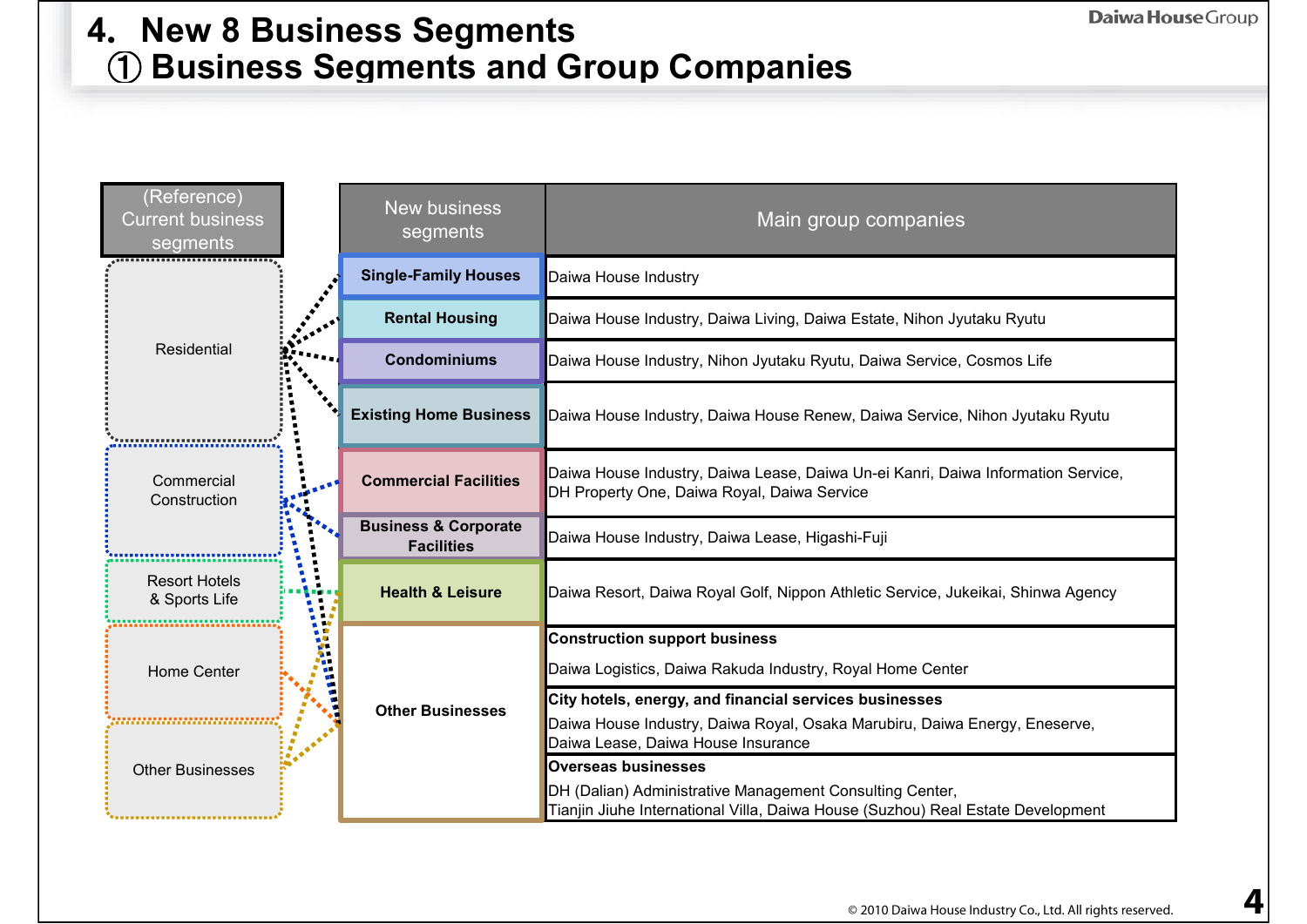#### ① **Business Segments and Group Companies 4.New 8 Business Segments**

| (Reference)<br><b>Current business</b><br>segments | <b>New business</b><br>segments                      | Main group companies                                                                                                                        |
|----------------------------------------------------|------------------------------------------------------|---------------------------------------------------------------------------------------------------------------------------------------------|
|                                                    | <b>Single-Family Houses</b>                          | Daiwa House Industry                                                                                                                        |
|                                                    | <b>Rental Housing</b>                                | Daiwa House Industry, Daiwa Living, Daiwa Estate, Nihon Jyutaku Ryutu                                                                       |
| Residential                                        | <b>Condominiums</b>                                  | Daiwa House Industry, Nihon Jyutaku Ryutu, Daiwa Service, Cosmos Life                                                                       |
|                                                    | <b>Existing Home Business</b>                        | Daiwa House Industry, Daiwa House Renew, Daiwa Service, Nihon Jyutaku Ryutu                                                                 |
| Commercial<br>Construction                         | <b>Commercial Facilities</b>                         | Daiwa House Industry, Daiwa Lease, Daiwa Un-ei Kanri, Daiwa Information Service,<br>DH Property One, Daiwa Royal, Daiwa Service             |
|                                                    | <b>Business &amp; Corporate</b><br><b>Facilities</b> | Daiwa House Industry, Daiwa Lease, Higashi-Fuji                                                                                             |
| <b>Resort Hotels</b><br>& Sports Life              | <b>Health &amp; Leisure</b>                          | Daiwa Resort, Daiwa Royal Golf, Nippon Athletic Service, Jukeikai, Shinwa Agency                                                            |
|                                                    |                                                      | <b>Construction support business</b>                                                                                                        |
| <b>Home Center</b>                                 |                                                      | Daiwa Logistics, Daiwa Rakuda Industry, Royal Home Center                                                                                   |
|                                                    | <b>Other Businesses</b>                              | City hotels, energy, and financial services businesses                                                                                      |
|                                                    |                                                      | Daiwa House Industry, Daiwa Royal, Osaka Marubiru, Daiwa Energy, Eneserve,<br>Daiwa Lease, Daiwa House Insurance                            |
| <b>Other Businesses</b>                            |                                                      | <b>Overseas businesses</b>                                                                                                                  |
|                                                    |                                                      | DH (Dalian) Administrative Management Consulting Center,<br>Tianjin Jiuhe International Villa, Daiwa House (Suzhou) Real Estate Development |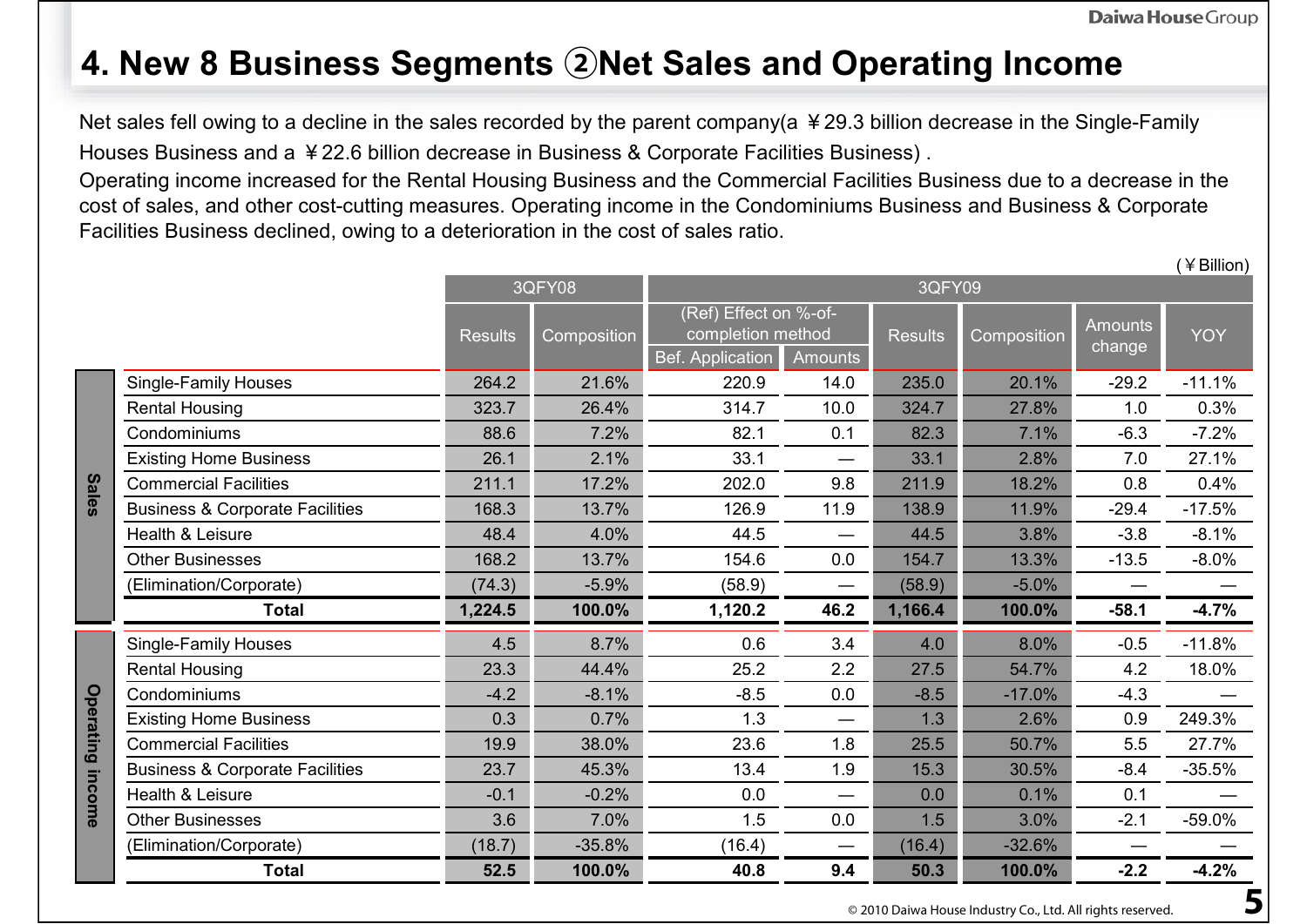(¥Billion)

### **4. New 8 Business Segments ②Net Sales and Operating Income**

Net sales fell owing to a decline in the sales recorded by the parent company(a ¥29.3 billion decrease in the Single-Family Houses Business and a ¥22.6 billion decrease in Business & Corporate Facilities Business) .

Operating income increased for the Rental Housing Business and the Commercial Facilities Business due to a decrease in the cost of sales, and other cost-cutting measures. Operating income in the Condominiums Business and Business & Corporate Facilities Business declined, owing to a deterioration in the cost of sales ratio.

|              |                                            |                | 3QFY08      |                       |                | 3QFY09         |             |                |            |
|--------------|--------------------------------------------|----------------|-------------|-----------------------|----------------|----------------|-------------|----------------|------------|
|              |                                            |                |             | (Ref) Effect on %-of- |                |                |             | <b>Amounts</b> |            |
|              |                                            | <b>Results</b> | Composition | completion method     |                | <b>Results</b> | Composition | change         | <b>YOY</b> |
|              |                                            |                |             | Bef. Application      | <b>Amounts</b> |                |             |                |            |
|              | <b>Single-Family Houses</b>                | 264.2          | 21.6%       | 220.9                 | 14.0           | 235.0          | 20.1%       | $-29.2$        | $-11.1%$   |
|              | <b>Rental Housing</b>                      | 323.7          | 26.4%       | 314.7                 | 10.0           | 324.7          | 27.8%       | 1.0            | 0.3%       |
|              | Condominiums                               | 88.6           | 7.2%        | 82.1                  | 0.1            | 82.3           | 7.1%        | $-6.3$         | $-7.2%$    |
|              | <b>Existing Home Business</b>              | 26.1           | 2.1%        | 33.1                  |                | 33.1           | 2.8%        | 7.0            | 27.1%      |
| <b>Sales</b> | <b>Commercial Facilities</b>               | 211.1          | 17.2%       | 202.0                 | 9.8            | 211.9          | 18.2%       | 0.8            | 0.4%       |
|              | <b>Business &amp; Corporate Facilities</b> | 168.3          | 13.7%       | 126.9                 | 11.9           | 138.9          | 11.9%       | $-29.4$        | $-17.5%$   |
|              | Health & Leisure                           | 48.4           | 4.0%        | 44.5                  |                | 44.5           | 3.8%        | $-3.8$         | $-8.1%$    |
|              | <b>Other Businesses</b>                    | 168.2          | 13.7%       | 154.6                 | 0.0            | 154.7          | 13.3%       | $-13.5$        | $-8.0\%$   |
|              | (Elimination/Corporate)                    | (74.3)         | $-5.9%$     | (58.9)                |                | (58.9)         | $-5.0%$     |                |            |
|              | <b>Total</b>                               | 1,224.5        | 100.0%      | 1,120.2               | 46.2           | 1,166.4        | 100.0%      | $-58.1$        | $-4.7%$    |
|              | <b>Single-Family Houses</b>                | 4.5            | 8.7%        | 0.6                   | 3.4            | 4.0            | 8.0%        | $-0.5$         | $-11.8%$   |
|              | <b>Rental Housing</b>                      | 23.3           | 44.4%       | 25.2                  | 2.2            | 27.5           | 54.7%       | 4.2            | 18.0%      |
|              | Condominiums                               | $-4.2$         | $-8.1%$     | $-8.5$                | 0.0            | $-8.5$         | $-17.0%$    | $-4.3$         |            |
| Operating    | <b>Existing Home Business</b>              | 0.3            | 0.7%        | 1.3                   | —              | 1.3            | 2.6%        | 0.9            | 249.3%     |
|              | <b>Commercial Facilities</b>               | 19.9           | 38.0%       | 23.6                  | 1.8            | 25.5           | 50.7%       | 5.5            | 27.7%      |
|              | <b>Business &amp; Corporate Facilities</b> | 23.7           | 45.3%       | 13.4                  | 1.9            | 15.3           | 30.5%       | $-8.4$         | $-35.5%$   |
| income       | Health & Leisure                           | $-0.1$         | $-0.2%$     | 0.0                   |                | 0.0            | 0.1%        | 0.1            |            |
|              | <b>Other Businesses</b>                    | 3.6            | 7.0%        | 1.5                   | 0.0            | 1.5            | 3.0%        | $-2.1$         | $-59.0%$   |
|              | (Elimination/Corporate)                    | (18.7)         | $-35.8%$    | (16.4)                |                | (16.4)         | $-32.6%$    |                |            |
|              | <b>Total</b>                               | 52.5           | 100.0%      | 40.8                  | 9.4            | 50.3           | 100.0%      | $-2.2$         | $-4.2%$    |

© 2010 Daiwa House Industry Co., Ltd. All rights reserved.  $\overline{\bf 5}$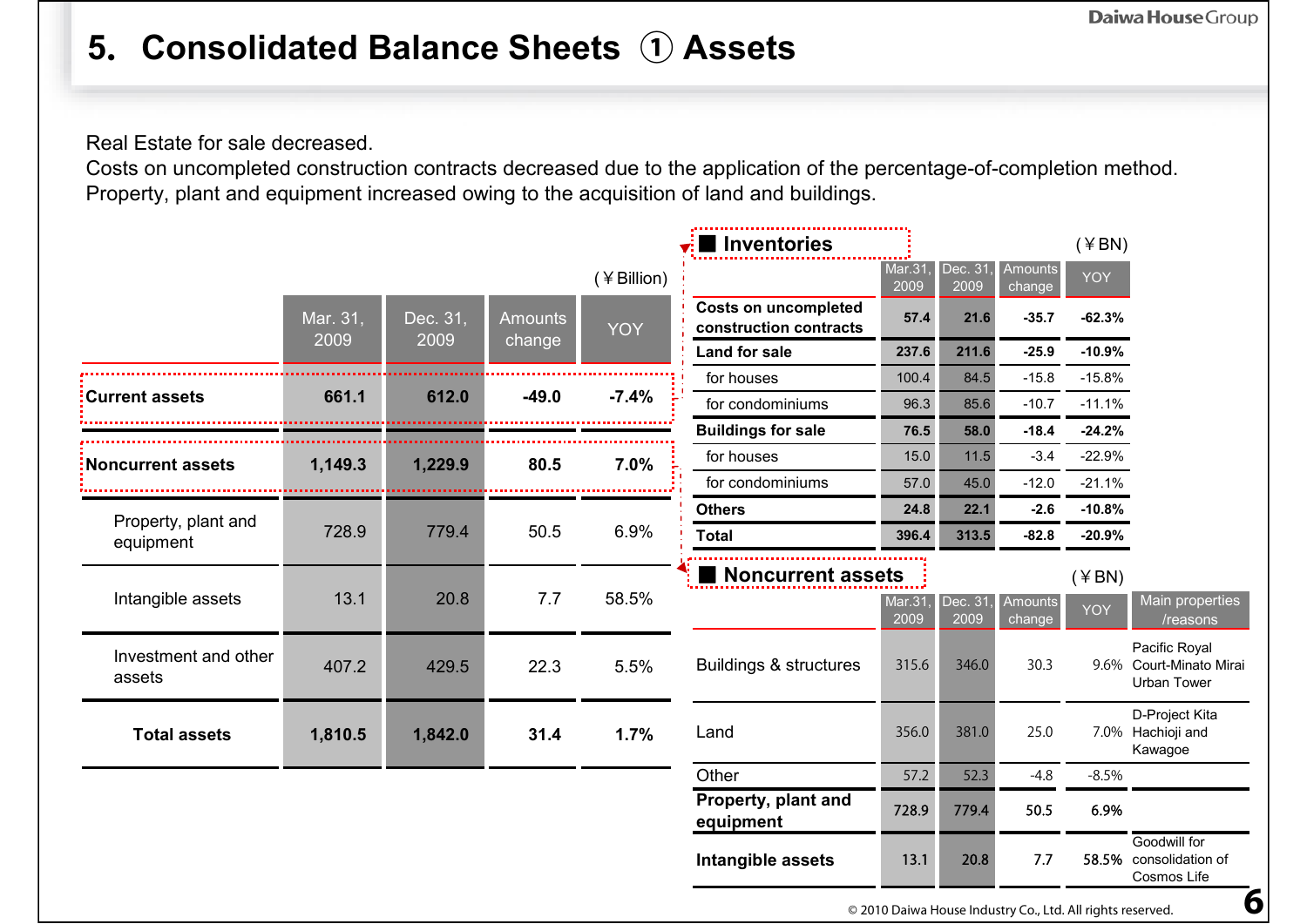## **5.Consolidated Balance Sheets ① Assets**

Real Estate for sale decreased.

Costs on uncompleted construction contracts decreased due to the application of the percentage-of-completion method. Property, plant and equipment increased owing to the acquisition of land and buildings.

|                                |          |          |                |            | Inventories                                           |                       |                 |                          | $($ ¥ BN $)$ |                                                                |
|--------------------------------|----------|----------|----------------|------------|-------------------------------------------------------|-----------------------|-----------------|--------------------------|--------------|----------------------------------------------------------------|
|                                |          |          |                | (¥Billion) |                                                       | <b>Mar.31</b><br>2009 | Dec. 31<br>2009 | Amounts<br>change        | <b>YOY</b>   |                                                                |
|                                | Mar. 31, | Dec. 31, | <b>Amounts</b> | <b>YOY</b> | <b>Costs on uncompleted</b><br>construction contracts | 57.4                  | 21.6            | $-35.7$                  | $-62.3%$     |                                                                |
|                                | 2009     | 2009     | change         |            | Land for sale                                         | 237.6                 | 211.6           | $-25.9$                  | $-10.9%$     |                                                                |
|                                |          |          |                |            | for houses                                            | 100.4                 | 84.5            | $-15.8$                  | $-15.8%$     |                                                                |
| <b>Current assets</b>          | 661.1    | 612.0    | $-49.0$        | $-7.4%$    | for condominiums                                      | 96.3                  | 85.6            | $-10.7$                  | $-11.1%$     |                                                                |
|                                |          |          |                |            | <b>Buildings for sale</b>                             | 76.5                  | 58.0            | $-18.4$                  | $-24.2%$     |                                                                |
| Noncurrent assets              | 1,149.3  | 1,229.9  | 80.5           | 7.0%       | for houses                                            | 15.0                  | 11.5            | $-3.4$                   | $-22.9%$     |                                                                |
|                                |          |          |                |            | for condominiums                                      | 57.0                  | 45.0            | $-12.0$                  | $-21.1%$     |                                                                |
| Property, plant and            |          |          |                |            | <b>Others</b>                                         | 24.8                  | 22.1            | $-2.6$                   | $-10.8%$     |                                                                |
| equipment                      | 728.9    | 779.4    | 50.5           | 6.9%       | <b>Total</b>                                          | 396.4                 | 313.5           | $-82.8$                  | $-20.9%$     |                                                                |
|                                |          |          |                |            | Noncurrent assets                                     |                       |                 |                          | $($ ¥ BN)    |                                                                |
| Intangible assets              | 13.1     | 20.8     | 7.7            | 58.5%      |                                                       | <b>Mar.31</b><br>2009 | Dec. 31<br>2009 | <b>Amounts</b><br>change | <b>YOY</b>   | Main properties<br>/reasons                                    |
| Investment and other<br>assets | 407.2    | 429.5    | 22.3           | 5.5%       | <b>Buildings &amp; structures</b>                     | 315.6                 | 346.0           | 30.3                     |              | Pacific Royal<br>9.6% Court-Minato Mirai<br><b>Urban Tower</b> |
| <b>Total assets</b>            | 1,810.5  | 1,842.0  | 31.4           | 1.7%       | Land                                                  | 356.0                 | 381.0           | 25.0                     |              | D-Project Kita<br>7.0% Hachioji and<br>Kawagoe                 |
|                                |          |          |                |            | Other                                                 | 57.2                  | 52.3            | $-4.8$                   | $-8.5%$      |                                                                |
|                                |          |          |                |            | Property, plant and<br>equipment                      | 728.9                 | 779.4           | 50.5                     | 6.9%         |                                                                |
|                                |          |          |                |            | Intangible assets                                     | 13.1                  | 20.8            | 7.7                      |              | Goodwill for<br>58.5% consolidation of<br>Cosmos Life          |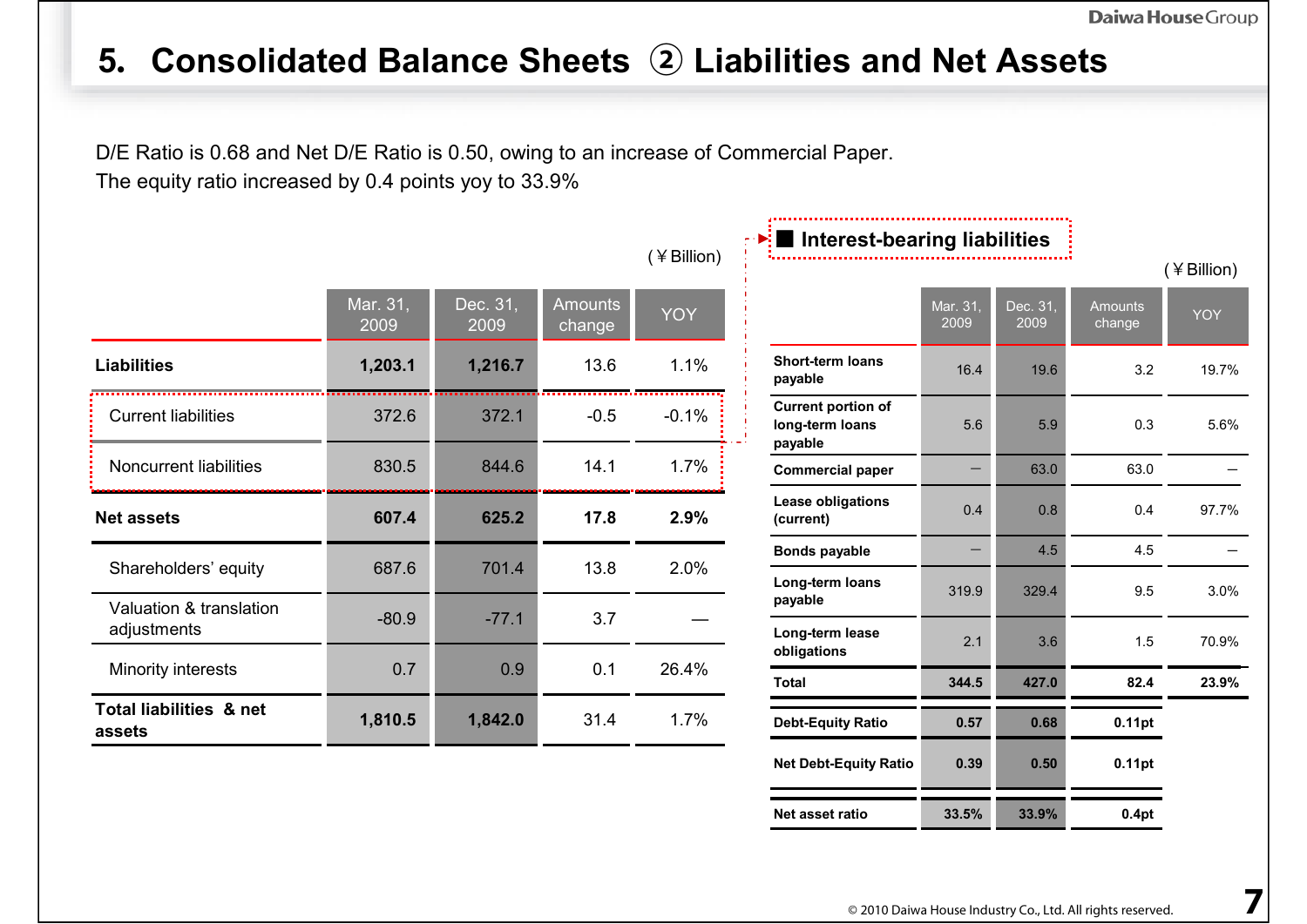# **5.Consolidated Balance Sheets ② Liabilities and Net Assets**

D/E Ratio is 0.68 and Net D/E Ratio is 0.50, owing to an increase of Commercial Paper. The equity ratio increased by 0.4 points yoy to 33.9%

|                                              |                  |                  |                          | (¥Billion) |
|----------------------------------------------|------------------|------------------|--------------------------|------------|
|                                              | Mar. 31,<br>2009 | Dec. 31,<br>2009 | <b>Amounts</b><br>change | <b>YOY</b> |
| <b>Liabilities</b>                           | 1,203.1          | 1,216.7          | 13.6                     | 1.1%       |
| <b>Current liabilities</b>                   | 372.6            | 372.1            | $-0.5$                   | $-0.1%$    |
| Noncurrent liabilities                       | 830.5            | 844.6            | 14.1                     | 1.7%       |
| <b>Net assets</b>                            | 607.4            | 625.2            | 17.8                     | 2.9%       |
| Shareholders' equity                         | 687.6            | 701.4            | 13.8                     | 2.0%       |
| Valuation & translation<br>adjustments       | $-80.9$          | $-77.1$          | 3.7                      |            |
| Minority interests                           | 0.7              | 0.9              | 0.1                      | 26.4%      |
| <b>Total liabilities &amp; net</b><br>assets | 1,810.5          | 1,842.0          | 31.4                     | 1.7%       |

| $\blacktriangleright$ : Interest-bearing liabilities    |                  |                  |                          |            |
|---------------------------------------------------------|------------------|------------------|--------------------------|------------|
|                                                         |                  |                  |                          | (¥Billion) |
|                                                         | Mar. 31,<br>2009 | Dec. 31,<br>2009 | <b>Amounts</b><br>change | <b>YOY</b> |
| <b>Short-term loans</b><br>payable                      | 16.4             | 19.6             | 3.2                      | 19.7%      |
| <b>Current portion of</b><br>long-term loans<br>payable | 5.6              | 5.9              | 0.3                      | 5.6%       |
| <b>Commercial paper</b>                                 |                  | 63.0             | 63.0                     |            |
| <b>Lease obligations</b><br>(current)                   | 0.4              | 0.8              | 0.4                      | 97.7%      |
| <b>Bonds payable</b>                                    |                  | 4.5              | 4.5                      |            |
| Long-term loans<br>payable                              | 319.9            | 329.4            | 9.5                      | 3.0%       |
| Long-term lease<br>obligations                          | 2.1              | 3.6              | 1.5                      | 70.9%      |
| <b>Total</b>                                            | 344.5            | 427.0            | 82.4                     | 23.9%      |
| <b>Debt-Equity Ratio</b>                                | 0.57             | 0.68             | 0.11pt                   |            |
| <b>Net Debt-Equity Ratio</b>                            | 0.39             | 0.50             | $0.11$ pt                |            |
| Net asset ratio                                         | 33.5%            | 33.9%            | 0.4pt                    |            |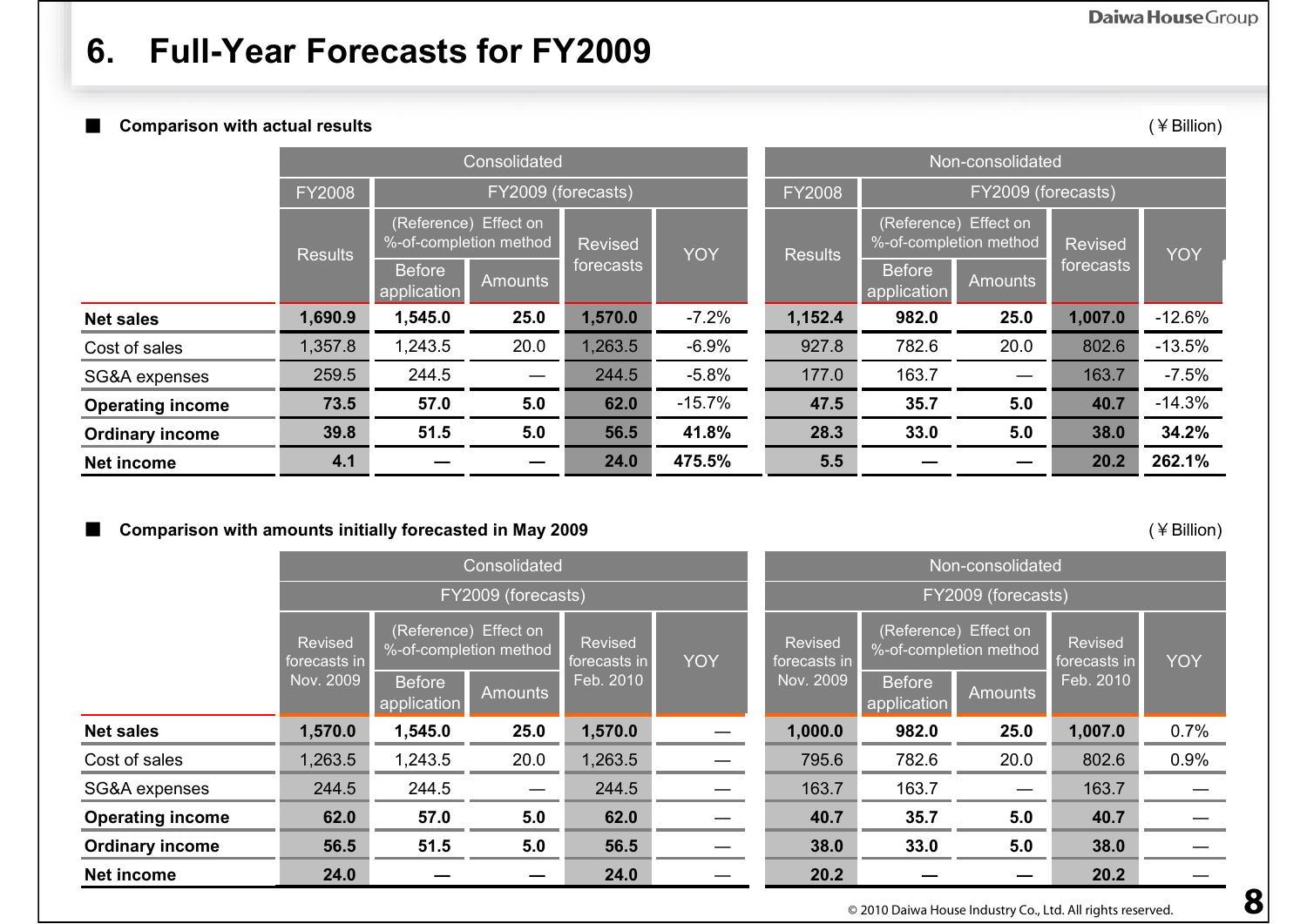### **6. Full-Year Forecasts for FY2009**

■ **Comparison with actual results** (¥Billion)

|                         |                |                              | Consolidated          |           |          | Non-consolidated |                                     |                                                 |         |          |  |
|-------------------------|----------------|------------------------------|-----------------------|-----------|----------|------------------|-------------------------------------|-------------------------------------------------|---------|----------|--|
|                         | <b>FY2008</b>  |                              | FY2009 (forecasts)    |           |          |                  | FY2009 (forecasts)<br><b>FY2008</b> |                                                 |         |          |  |
|                         | <b>Results</b> | %-of-completion method       | (Reference) Effect on | Revised   | YOY      | <b>Results</b>   |                                     | (Reference) Effect on<br>%-of-completion method | Revised | YOY      |  |
|                         |                | <b>Before</b><br>application | <b>Amounts</b>        | forecasts |          |                  | <b>Before</b><br>application        | forecasts<br><b>Amounts</b>                     |         |          |  |
| <b>Net sales</b>        | 1,690.9        | 1,545.0                      | 25.0                  | 1,570.0   | $-7.2%$  | 1,152.4          | 982.0                               | 25.0                                            | 1,007.0 | $-12.6%$ |  |
| Cost of sales           | 1,357.8        | 1,243.5                      | 20.0                  | 1,263.5   | $-6.9%$  | 927.8            | 782.6                               | 20.0                                            | 802.6   | $-13.5%$ |  |
| SG&A expenses           | 259.5          | 244.5                        |                       | 244.5     | $-5.8\%$ | 177.0            | 163.7                               | $\overbrace{\phantom{12322111}}$                | 163.7   | $-7.5%$  |  |
| <b>Operating income</b> | 73.5           | 57.0                         | 5.0                   | 62.0      | $-15.7%$ | 47.5             | 35.7                                | 5.0                                             | 40.7    | $-14.3%$ |  |
| <b>Ordinary income</b>  | 39.8           | 51.5                         | 5.0                   | 56.5      | 41.8%    | 28.3             | 33.0                                | 5.0                                             | 38.0    | 34.2%    |  |
| <b>Net income</b>       | 4.1            |                              |                       | 24.0      | 475.5%   | 5.5              |                                     |                                                 | 20.2    | 262.1%   |  |

#### ■ **Comparison with amounts initially forecasted in May 2009 Comparison with amounts initially forecasted in May 2009**

|                         |                                                                            |                              | Consolidated       |                         |            | Non-consolidated        |                              |                                                 |                         |            |  |
|-------------------------|----------------------------------------------------------------------------|------------------------------|--------------------|-------------------------|------------|-------------------------|------------------------------|-------------------------------------------------|-------------------------|------------|--|
|                         |                                                                            |                              | FY2009 (forecasts) |                         |            | FY2009 (forecasts)      |                              |                                                 |                         |            |  |
|                         | (Reference) Effect on<br>Revised<br>%-of-completion method<br>forecasts in |                              |                    | Revised<br>forecasts in | <b>YOY</b> | Revised<br>forecasts in |                              | (Reference) Effect on<br>%-of-completion method | Revised<br>forecasts in | <b>YOY</b> |  |
|                         | Nov. 2009                                                                  | <b>Before</b><br>application | <b>Amounts</b>     | Feb. 2010               |            | Nov. 2009               | <b>Before</b><br>application | <b>Amounts</b>                                  | Feb. 2010               |            |  |
| <b>Net sales</b>        | 1,570.0                                                                    | 1,545.0                      | 25.0               | 1,570.0                 |            | 1,000.0                 | 982.0                        | 25.0                                            | 1,007.0                 | 0.7%       |  |
| Cost of sales           | 1,263.5                                                                    | 1,243.5                      | 20.0               | 1,263.5                 |            | 795.6                   | 782.6                        | 20.0                                            | 802.6                   | 0.9%       |  |
| SG&A expenses           | 244.5                                                                      | 244.5                        |                    | 244.5                   |            | 163.7                   | 163.7                        |                                                 | 163.7                   |            |  |
| <b>Operating income</b> | 62.0                                                                       | 57.0                         | 5.0                | 62.0                    |            | 40.7                    | 35.7                         | 5.0                                             | 40.7                    |            |  |
| <b>Ordinary income</b>  | 56.5                                                                       | 5.0<br>51.5                  |                    |                         |            | 38.0                    | 33.0                         | 5.0                                             | 38.0                    |            |  |
| <b>Net income</b>       | 24.0                                                                       |                              |                    | 24.0                    |            | 20.2                    |                              |                                                 | 20.2                    |            |  |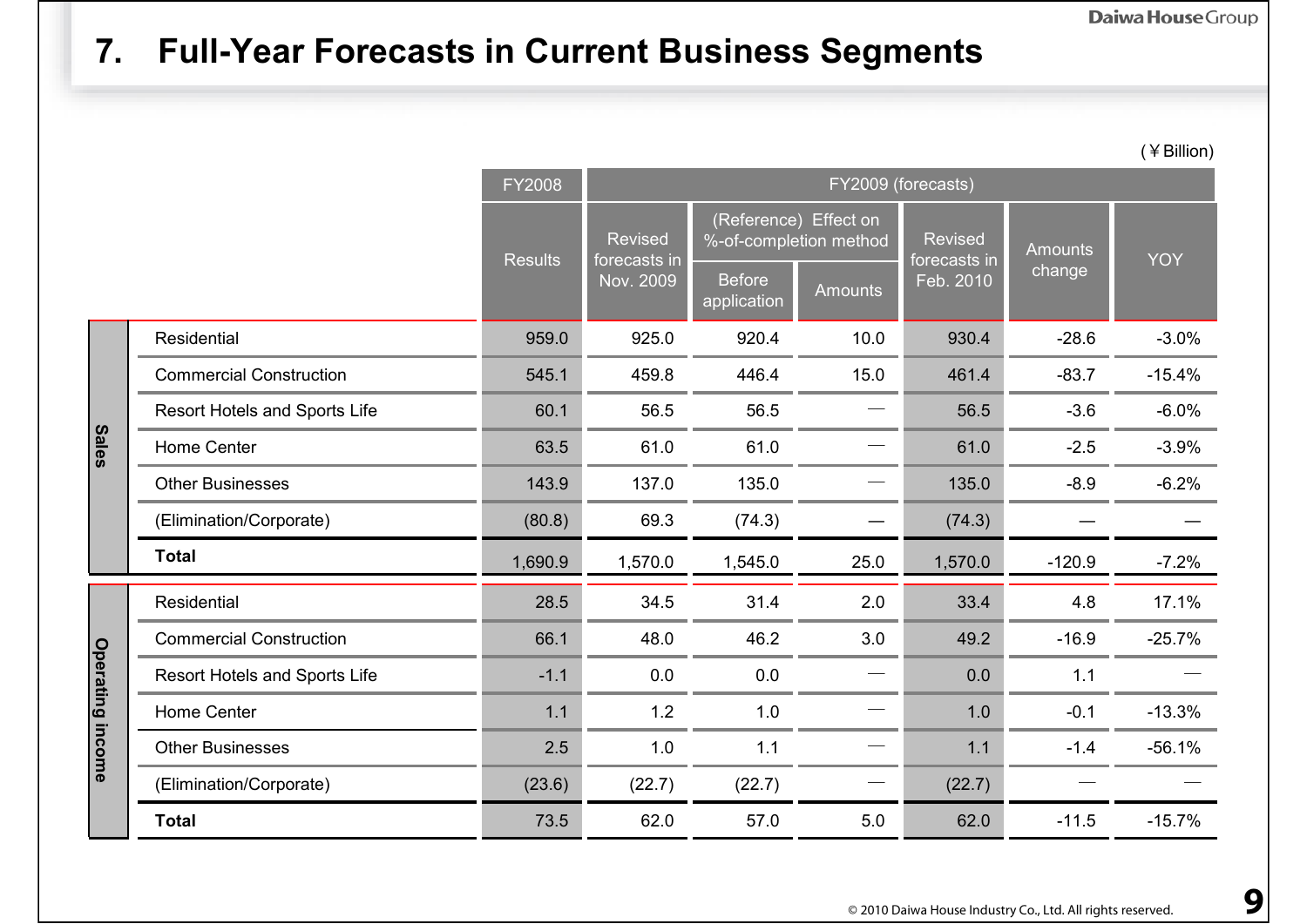#### **7. Full-Year Forecasts in Current Business Segments**

(¥Billion)

|                         |                                      | FY2008         | FY2009 (forecasts)             |                              |                                                 |                                |          |            |  |  |
|-------------------------|--------------------------------------|----------------|--------------------------------|------------------------------|-------------------------------------------------|--------------------------------|----------|------------|--|--|
|                         |                                      | <b>Results</b> | <b>Revised</b><br>forecasts in |                              | (Reference) Effect on<br>%-of-completion method | <b>Revised</b><br>forecasts in | Amounts  | <b>YOY</b> |  |  |
|                         |                                      |                | Nov. 2009                      | <b>Before</b><br>application | <b>Amounts</b>                                  | Feb. 2010                      | change   |            |  |  |
| <b>Sales</b>            | Residential                          | 959.0          | 925.0                          | 920.4                        | 10.0                                            | 930.4                          | $-28.6$  | $-3.0%$    |  |  |
|                         | <b>Commercial Construction</b>       | 545.1          | 459.8                          | 446.4                        | 15.0                                            | 461.4                          | $-83.7$  | $-15.4%$   |  |  |
|                         | <b>Resort Hotels and Sports Life</b> | 60.1           | 56.5                           | 56.5                         |                                                 | 56.5                           | $-3.6$   | $-6.0%$    |  |  |
|                         | Home Center                          | 63.5           | 61.0                           | 61.0                         |                                                 | 61.0                           | $-2.5$   | $-3.9%$    |  |  |
|                         | <b>Other Businesses</b>              | 143.9          | 137.0                          | 135.0                        |                                                 | 135.0                          | $-8.9$   | $-6.2%$    |  |  |
|                         | (Elimination/Corporate)              | (80.8)         | 69.3                           | (74.3)                       |                                                 | (74.3)                         |          |            |  |  |
|                         | <b>Total</b>                         | 1,690.9        | 1,570.0                        | 1,545.0                      | 25.0                                            | 1,570.0                        | $-120.9$ | $-7.2%$    |  |  |
|                         | Residential                          | 28.5           | 34.5                           | 31.4                         | 2.0                                             | 33.4                           | 4.8      | 17.1%      |  |  |
|                         | <b>Commercial Construction</b>       | 66.1           | 48.0                           | 46.2                         | 3.0                                             | 49.2                           | $-16.9$  | $-25.7%$   |  |  |
| <b>Operating income</b> | Resort Hotels and Sports Life        | $-1.1$         | 0.0                            | 0.0                          |                                                 | 0.0                            | 1.1      |            |  |  |
|                         | Home Center                          | 1.1            | 1.2                            | 1.0                          |                                                 | 1.0                            | $-0.1$   | $-13.3%$   |  |  |
|                         | <b>Other Businesses</b>              | 2.5            | 1.0                            | 1.1                          |                                                 | 1.1                            | $-1.4$   | $-56.1%$   |  |  |
|                         | (Elimination/Corporate)              | (23.6)         | (22.7)                         | (22.7)                       |                                                 | (22.7)                         |          |            |  |  |
|                         | <b>Total</b>                         | 73.5           | 62.0                           | 57.0                         | 5.0                                             | 62.0                           | $-11.5$  | $-15.7%$   |  |  |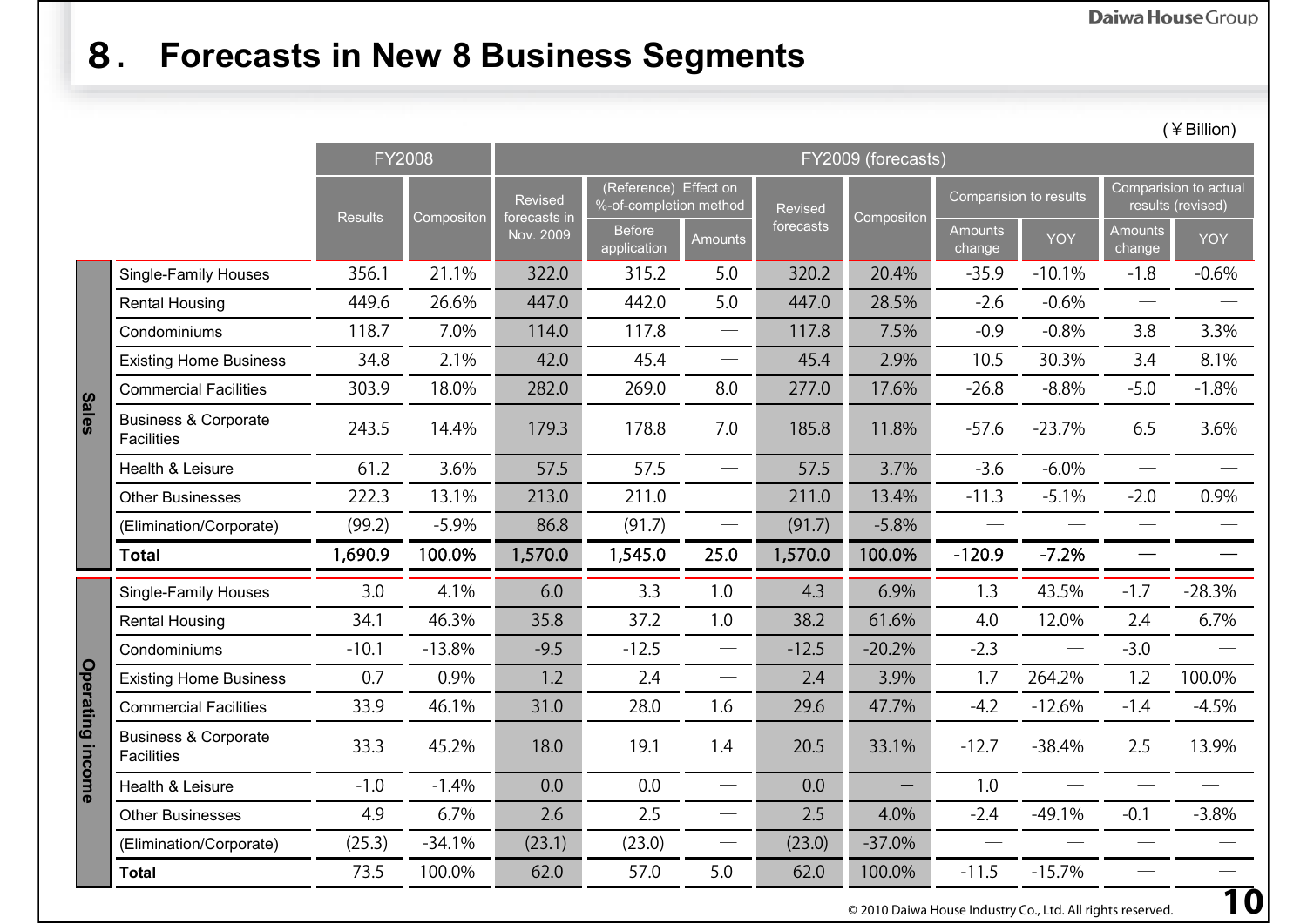## **8. Forecasts in New 8 Business Segments**

(¥Billion)

|                     |                                                      | <b>FY2008</b>  |            | FY2009 (forecasts)      |                                                 |                               |                |                   |                          |          |                                            |          |  |
|---------------------|------------------------------------------------------|----------------|------------|-------------------------|-------------------------------------------------|-------------------------------|----------------|-------------------|--------------------------|----------|--------------------------------------------|----------|--|
|                     |                                                      | <b>Results</b> | Compositon | Revised<br>forecasts in | (Reference) Effect on<br>%-of-completion method |                               | <b>Revised</b> | Compositon        | Comparision to results   |          | Comparision to actual<br>results (revised) |          |  |
|                     |                                                      |                |            | Nov. 2009               | <b>Before</b><br>$\frac{1}{2}$ application      | <b>Amounts</b>                | forecasts      |                   | <b>Amounts</b><br>change | YOY      | <b>Amounts</b><br>change                   | YOY      |  |
| <b>Sales</b>        | <b>Single-Family Houses</b>                          | 356.1          | 21.1%      | 322.0                   | 315.2                                           | 5.0                           | 320.2          | 20.4%             | $-35.9$                  | $-10.1%$ | $-1.8$                                     | $-0.6%$  |  |
|                     | <b>Rental Housing</b>                                | 449.6          | 26.6%      | 447.0                   | 442.0                                           | 5.0                           | 447.0          | 28.5%             | $-2.6$                   | $-0.6%$  | $\overbrace{\qquad \qquad }^{}$            |          |  |
|                     | Condominiums                                         | 118.7          | 7.0%       | 114.0                   | 117.8                                           |                               | 117.8          | 7.5%              | $-0.9$                   | $-0.8%$  | 3.8                                        | 3.3%     |  |
|                     | <b>Existing Home Business</b>                        | 34.8           | 2.1%       | 42.0                    | 45.4                                            | $\overline{\phantom{0}}$      | 45.4           | 2.9%              | 10.5                     | 30.3%    | 3.4                                        | 8.1%     |  |
|                     | <b>Commercial Facilities</b>                         | 303.9          | 18.0%      | 282.0                   | 269.0                                           | 8.0                           | 277.0          | 17.6%             | $-26.8$                  | $-8.8%$  | $-5.0$                                     | $-1.8%$  |  |
|                     | <b>Business &amp; Corporate</b><br><b>Facilities</b> | 243.5          | 14.4%      | 179.3                   | 178.8                                           | 7.0                           | 185.8          | 11.8%             | $-57.6$                  | $-23.7%$ | 6.5                                        | 3.6%     |  |
|                     | Health & Leisure                                     | 61.2           | 3.6%       | 57.5                    | 57.5                                            |                               | 57.5           | 3.7%              | $-3.6$                   | $-6.0\%$ | $\overline{\phantom{a}}$                   |          |  |
|                     | <b>Other Businesses</b>                              | 222.3          | 13.1%      | 213.0                   | 211.0                                           |                               | 211.0          | 13.4%             | $-11.3$                  | $-5.1%$  | $-2.0$                                     | 0.9%     |  |
|                     | (Elimination/Corporate)                              | (99.2)         | $-5.9%$    | 86.8                    | (91.7)                                          |                               | (91.7)         | $-5.8%$           |                          |          |                                            |          |  |
|                     | <b>Total</b>                                         | 1,690.9        | 100.0%     | 1,570.0                 | 1,545.0                                         | 25.0                          | 1,570.0        | 100.0%            | $-120.9$                 | $-7.2%$  |                                            |          |  |
| Operating<br>income | <b>Single-Family Houses</b>                          | 3.0            | 4.1%       | 6.0                     | 3.3                                             | 1.0                           | 4.3            | 6.9%              | 1.3                      | 43.5%    | $-1.7$                                     | $-28.3%$ |  |
|                     | <b>Rental Housing</b>                                | 34.1           | 46.3%      | 35.8                    | 37.2                                            | 1.0                           | 38.2           | 61.6%             | 4.0                      | 12.0%    | 2.4                                        | 6.7%     |  |
|                     | Condominiums                                         | $-10.1$        | $-13.8%$   | $-9.5$                  | $-12.5$                                         |                               | $-12.5$        | $-20.2%$          | $-2.3$                   |          | $-3.0$                                     |          |  |
|                     | <b>Existing Home Business</b>                        | 0.7            | 0.9%       | 1.2                     | 2.4                                             | $\overline{\phantom{m}}$      | 2.4            | 3.9%              | 1.7                      | 264.2%   | 1.2                                        | 100.0%   |  |
|                     | <b>Commercial Facilities</b>                         | 33.9           | 46.1%      | 31.0                    | 28.0                                            | 1.6                           | 29.6           | 47.7%             | $-4.2$                   | $-12.6%$ | $-1.4$                                     | $-4.5%$  |  |
|                     | <b>Business &amp; Corporate</b><br><b>Facilities</b> | 33.3           | 45.2%      | 18.0                    | 19.1                                            | 1.4                           | 20.5           | 33.1%             | $-12.7$                  | $-38.4%$ | 2.5                                        | 13.9%    |  |
|                     | Health & Leisure                                     | $-1.0$         | $-1.4%$    | 0.0                     | 0.0                                             | $\overline{\phantom{0}}$      | 0.0            | $\qquad \qquad -$ | 1.0                      |          |                                            |          |  |
|                     | <b>Other Businesses</b>                              | 4.9            | 6.7%       | 2.6                     | 2.5                                             | $\overbrace{\phantom{aaaaa}}$ | 2.5            | 4.0%              | $-2.4$                   | $-49.1%$ | $-0.1$                                     | $-3.8%$  |  |
|                     | (Elimination/Corporate)                              | (25.3)         | $-34.1%$   | (23.1)                  | (23.0)                                          |                               | (23.0)         | $-37.0%$          |                          |          |                                            |          |  |
|                     | <b>Total</b>                                         | 73.5           | 100.0%     | 62.0                    | 57.0                                            | 5.0                           | 62.0           | 100.0%            | $-11.5$                  | $-15.7%$ |                                            |          |  |